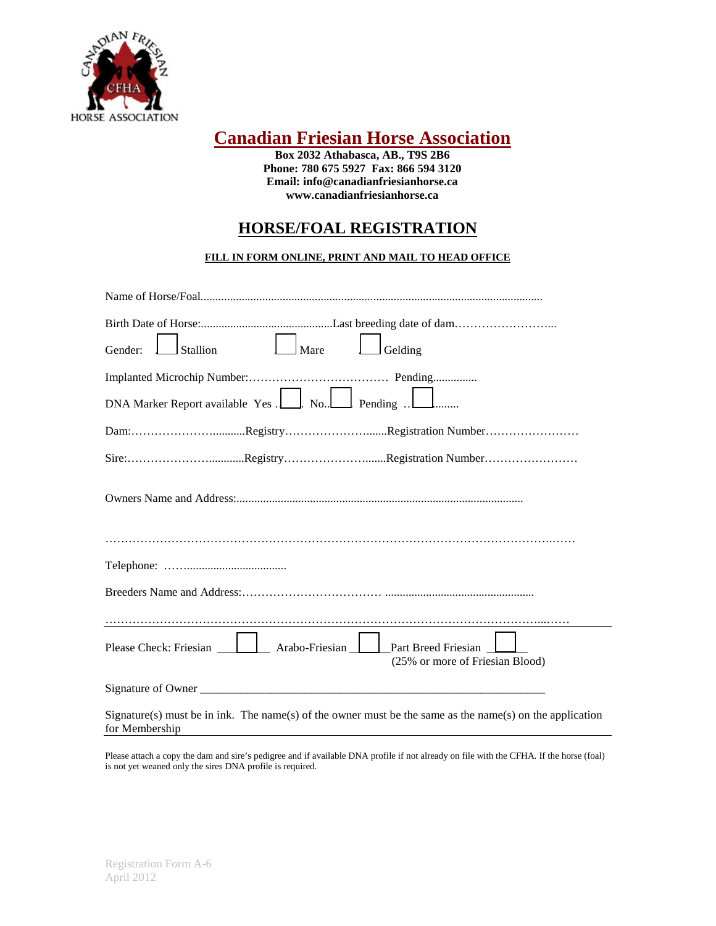

# **Canadian Friesian Horse Association**

**Box 2032 Athabasca, AB., T9S 2B6 Phone: 780 675 5927 Fax: 866 594 3120 Email: info@canadianfriesianhorse.ca www.canadianfriesianhorse.ca**

## **HORSE/FOAL REGISTRATION**

#### **FILL IN FORM ONLINE, PRINT AND MAIL TO HEAD OFFICE**

| $\Box$ Mare<br>Stallion<br>Gelding<br>Gender:                                                                              |
|----------------------------------------------------------------------------------------------------------------------------|
|                                                                                                                            |
| DNA Marker Report available Yes . No. Pending  I minutes                                                                   |
|                                                                                                                            |
|                                                                                                                            |
|                                                                                                                            |
|                                                                                                                            |
|                                                                                                                            |
|                                                                                                                            |
|                                                                                                                            |
| (25% or more of Friesian Blood)                                                                                            |
|                                                                                                                            |
| Signature(s) must be in ink. The name(s) of the owner must be the same as the name(s) on the application<br>for Membership |

Please attach a copy the dam and sire's pedigree and if available DNA profile if not already on file with the CFHA. If the horse (foal) is not yet weaned only the sires DNA profile is required.